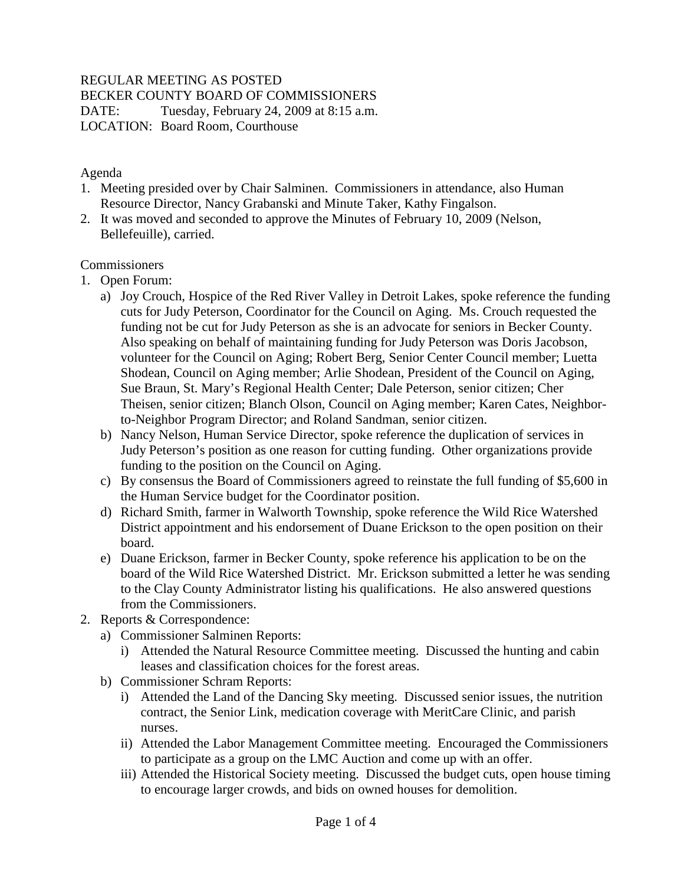# REGULAR MEETING AS POSTED

BECKER COUNTY BOARD OF COMMISSIONERS

DATE: Tuesday, February 24, 2009 at 8:15 a.m. LOCATION: Board Room, Courthouse

# Agenda

- 1. Meeting presided over by Chair Salminen. Commissioners in attendance, also Human Resource Director, Nancy Grabanski and Minute Taker, Kathy Fingalson.
- 2. It was moved and seconded to approve the Minutes of February 10, 2009 (Nelson, Bellefeuille), carried.

# **Commissioners**

- 1. Open Forum:
	- a) Joy Crouch, Hospice of the Red River Valley in Detroit Lakes, spoke reference the funding cuts for Judy Peterson, Coordinator for the Council on Aging. Ms. Crouch requested the funding not be cut for Judy Peterson as she is an advocate for seniors in Becker County. Also speaking on behalf of maintaining funding for Judy Peterson was Doris Jacobson, volunteer for the Council on Aging; Robert Berg, Senior Center Council member; Luetta Shodean, Council on Aging member; Arlie Shodean, President of the Council on Aging, Sue Braun, St. Mary's Regional Health Center; Dale Peterson, senior citizen; Cher Theisen, senior citizen; Blanch Olson, Council on Aging member; Karen Cates, Neighborto-Neighbor Program Director; and Roland Sandman, senior citizen.
	- b) Nancy Nelson, Human Service Director, spoke reference the duplication of services in Judy Peterson's position as one reason for cutting funding. Other organizations provide funding to the position on the Council on Aging.
	- c) By consensus the Board of Commissioners agreed to reinstate the full funding of \$5,600 in the Human Service budget for the Coordinator position.
	- d) Richard Smith, farmer in Walworth Township, spoke reference the Wild Rice Watershed District appointment and his endorsement of Duane Erickson to the open position on their board.
	- e) Duane Erickson, farmer in Becker County, spoke reference his application to be on the board of the Wild Rice Watershed District. Mr. Erickson submitted a letter he was sending to the Clay County Administrator listing his qualifications. He also answered questions from the Commissioners.
- 2. Reports & Correspondence:
	- a) Commissioner Salminen Reports:
		- i) Attended the Natural Resource Committee meeting. Discussed the hunting and cabin leases and classification choices for the forest areas.
	- b) Commissioner Schram Reports:
		- i) Attended the Land of the Dancing Sky meeting. Discussed senior issues, the nutrition contract, the Senior Link, medication coverage with MeritCare Clinic, and parish nurses.
		- ii) Attended the Labor Management Committee meeting. Encouraged the Commissioners to participate as a group on the LMC Auction and come up with an offer.
		- iii) Attended the Historical Society meeting. Discussed the budget cuts, open house timing to encourage larger crowds, and bids on owned houses for demolition.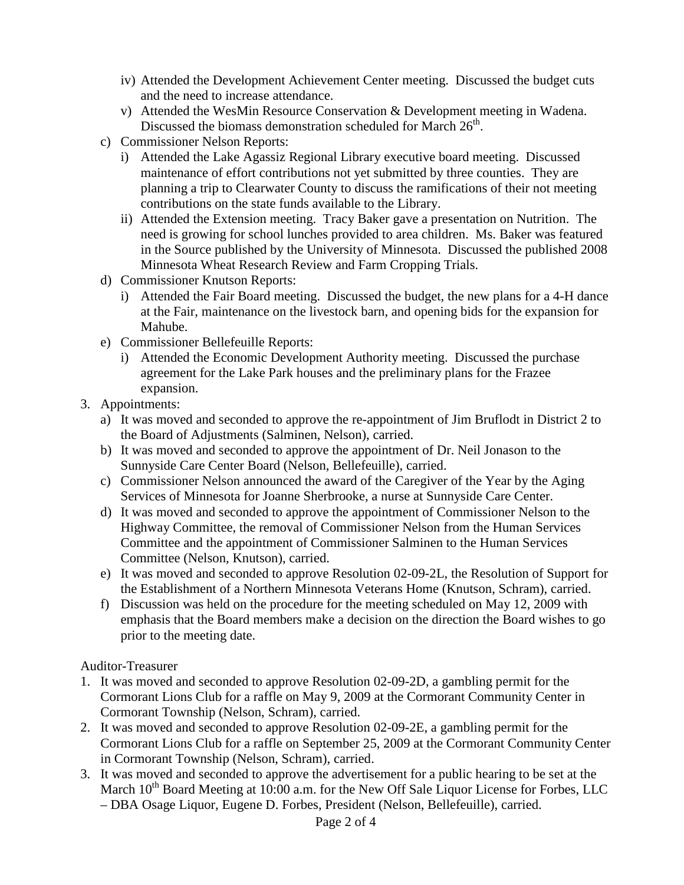- iv) Attended the Development Achievement Center meeting. Discussed the budget cuts and the need to increase attendance.
- v) Attended the WesMin Resource Conservation & Development meeting in Wadena. Discussed the biomass demonstration scheduled for March  $26<sup>th</sup>$ .
- c) Commissioner Nelson Reports:
	- i) Attended the Lake Agassiz Regional Library executive board meeting. Discussed maintenance of effort contributions not yet submitted by three counties. They are planning a trip to Clearwater County to discuss the ramifications of their not meeting contributions on the state funds available to the Library.
	- ii) Attended the Extension meeting. Tracy Baker gave a presentation on Nutrition. The need is growing for school lunches provided to area children. Ms. Baker was featured in the Source published by the University of Minnesota. Discussed the published 2008 Minnesota Wheat Research Review and Farm Cropping Trials.
- d) Commissioner Knutson Reports:
	- i) Attended the Fair Board meeting. Discussed the budget, the new plans for a 4-H dance at the Fair, maintenance on the livestock barn, and opening bids for the expansion for Mahube.
- e) Commissioner Bellefeuille Reports:
	- i) Attended the Economic Development Authority meeting. Discussed the purchase agreement for the Lake Park houses and the preliminary plans for the Frazee expansion.
- 3. Appointments:
	- a) It was moved and seconded to approve the re-appointment of Jim Bruflodt in District 2 to the Board of Adjustments (Salminen, Nelson), carried.
	- b) It was moved and seconded to approve the appointment of Dr. Neil Jonason to the Sunnyside Care Center Board (Nelson, Bellefeuille), carried.
	- c) Commissioner Nelson announced the award of the Caregiver of the Year by the Aging Services of Minnesota for Joanne Sherbrooke, a nurse at Sunnyside Care Center.
	- d) It was moved and seconded to approve the appointment of Commissioner Nelson to the Highway Committee, the removal of Commissioner Nelson from the Human Services Committee and the appointment of Commissioner Salminen to the Human Services Committee (Nelson, Knutson), carried.
	- e) It was moved and seconded to approve Resolution 02-09-2L, the Resolution of Support for the Establishment of a Northern Minnesota Veterans Home (Knutson, Schram), carried.
	- f) Discussion was held on the procedure for the meeting scheduled on May 12, 2009 with emphasis that the Board members make a decision on the direction the Board wishes to go prior to the meeting date.

Auditor-Treasurer

- 1. It was moved and seconded to approve Resolution 02-09-2D, a gambling permit for the Cormorant Lions Club for a raffle on May 9, 2009 at the Cormorant Community Center in Cormorant Township (Nelson, Schram), carried.
- 2. It was moved and seconded to approve Resolution 02-09-2E, a gambling permit for the Cormorant Lions Club for a raffle on September 25, 2009 at the Cormorant Community Center in Cormorant Township (Nelson, Schram), carried.
- 3. It was moved and seconded to approve the advertisement for a public hearing to be set at the March  $10^{th}$  Board Meeting at 10:00 a.m. for the New Off Sale Liquor License for Forbes, LLC – DBA Osage Liquor, Eugene D. Forbes, President (Nelson, Bellefeuille), carried.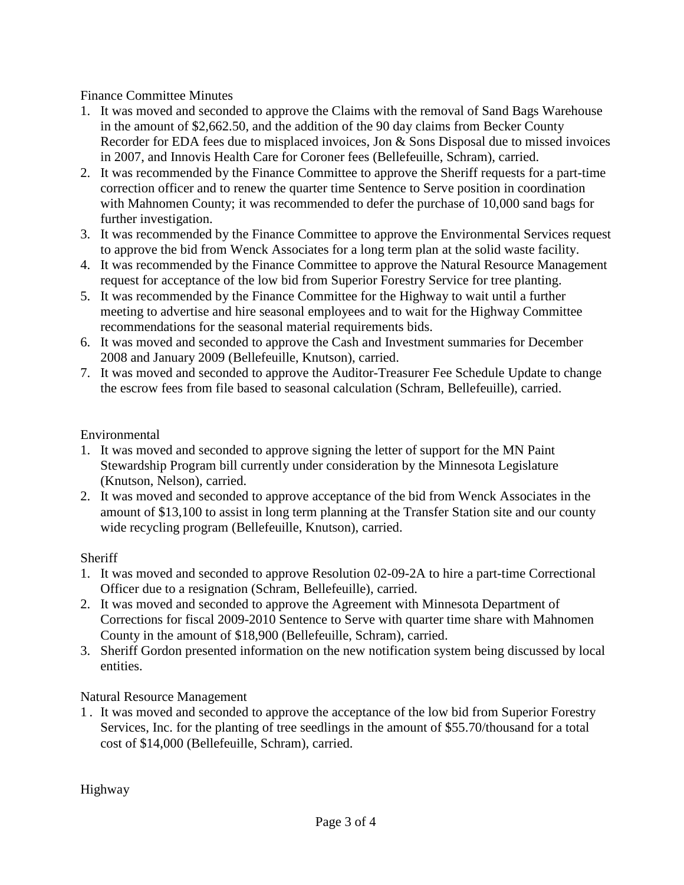# Finance Committee Minutes

- 1. It was moved and seconded to approve the Claims with the removal of Sand Bags Warehouse in the amount of \$2,662.50, and the addition of the 90 day claims from Becker County Recorder for EDA fees due to misplaced invoices, Jon & Sons Disposal due to missed invoices in 2007, and Innovis Health Care for Coroner fees (Bellefeuille, Schram), carried.
- 2. It was recommended by the Finance Committee to approve the Sheriff requests for a part-time correction officer and to renew the quarter time Sentence to Serve position in coordination with Mahnomen County; it was recommended to defer the purchase of 10,000 sand bags for further investigation.
- 3. It was recommended by the Finance Committee to approve the Environmental Services request to approve the bid from Wenck Associates for a long term plan at the solid waste facility.
- 4. It was recommended by the Finance Committee to approve the Natural Resource Management request for acceptance of the low bid from Superior Forestry Service for tree planting.
- 5. It was recommended by the Finance Committee for the Highway to wait until a further meeting to advertise and hire seasonal employees and to wait for the Highway Committee recommendations for the seasonal material requirements bids.
- 6. It was moved and seconded to approve the Cash and Investment summaries for December 2008 and January 2009 (Bellefeuille, Knutson), carried.
- 7. It was moved and seconded to approve the Auditor-Treasurer Fee Schedule Update to change the escrow fees from file based to seasonal calculation (Schram, Bellefeuille), carried.

# Environmental

- 1. It was moved and seconded to approve signing the letter of support for the MN Paint Stewardship Program bill currently under consideration by the Minnesota Legislature (Knutson, Nelson), carried.
- 2. It was moved and seconded to approve acceptance of the bid from Wenck Associates in the amount of \$13,100 to assist in long term planning at the Transfer Station site and our county wide recycling program (Bellefeuille, Knutson), carried.

# **Sheriff**

- 1. It was moved and seconded to approve Resolution 02-09-2A to hire a part-time Correctional Officer due to a resignation (Schram, Bellefeuille), carried.
- 2. It was moved and seconded to approve the Agreement with Minnesota Department of Corrections for fiscal 2009-2010 Sentence to Serve with quarter time share with Mahnomen County in the amount of \$18,900 (Bellefeuille, Schram), carried.
- 3. Sheriff Gordon presented information on the new notification system being discussed by local entities.

# Natural Resource Management

1 . It was moved and seconded to approve the acceptance of the low bid from Superior Forestry Services, Inc. for the planting of tree seedlings in the amount of \$55.70/thousand for a total cost of \$14,000 (Bellefeuille, Schram), carried.

Highway